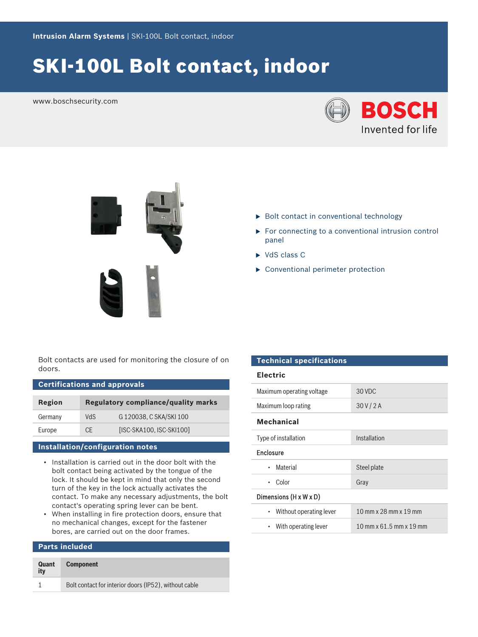# SKI-100L Bolt contact, indoor

www.boschsecurity.com







- $\blacktriangleright$  Bolt contact in conventional technology
- $\triangleright$  For connecting to a conventional intrusion control panel
- $\triangleright$  VdS class C
- $\triangleright$  Conventional perimeter protection

Bolt contacts are used for monitoring the closure of on doors.

| <b>Certifications and approvals</b> |                                     |                          |  |  |
|-------------------------------------|-------------------------------------|--------------------------|--|--|
| Region                              | Regulatory compliance/quality marks |                          |  |  |
| Germany                             | <b>ChV</b>                          | G 120038, C SKA/SKI 100  |  |  |
| Europe                              | CF.                                 | [ISC-SKA100, ISC-SKI100] |  |  |

# **Installation/configuration notes**

- Installation is carried out in the door bolt with the bolt contact being activated by the tongue of the lock. It should be kept in mind that only the second turn of the key in the lock actually activates the contact. To make any necessary adjustments, the bolt contact's operating spring lever can be bent.
- When installing in fire protection doors, ensure that no mechanical changes, except for the fastener bores, are carried out on the door frames.

# **Parts included**

| Quant<br>itv | <b>Component</b>                                      |
|--------------|-------------------------------------------------------|
|              | Bolt contact for interior doors (IP52), without cable |

#### **Technical specifications**

| Electric |
|----------|
|----------|

| Maximum operating voltage    | 30 VDC                  |  |  |  |
|------------------------------|-------------------------|--|--|--|
| Maximum loop rating          | 30V/2A                  |  |  |  |
| <b>Mechanical</b>            |                         |  |  |  |
| Type of installation         | Installation            |  |  |  |
| <b>Enclosure</b>             |                         |  |  |  |
| Material<br>٠                | Steel plate             |  |  |  |
| Color<br>٠                   | Gray                    |  |  |  |
| Dimensions (H x W x D)       |                         |  |  |  |
| Without operating lever<br>٠ | 10 mm x 28 mm x 19 mm   |  |  |  |
| • With operating lever       | 10 mm x 61.5 mm x 19 mm |  |  |  |